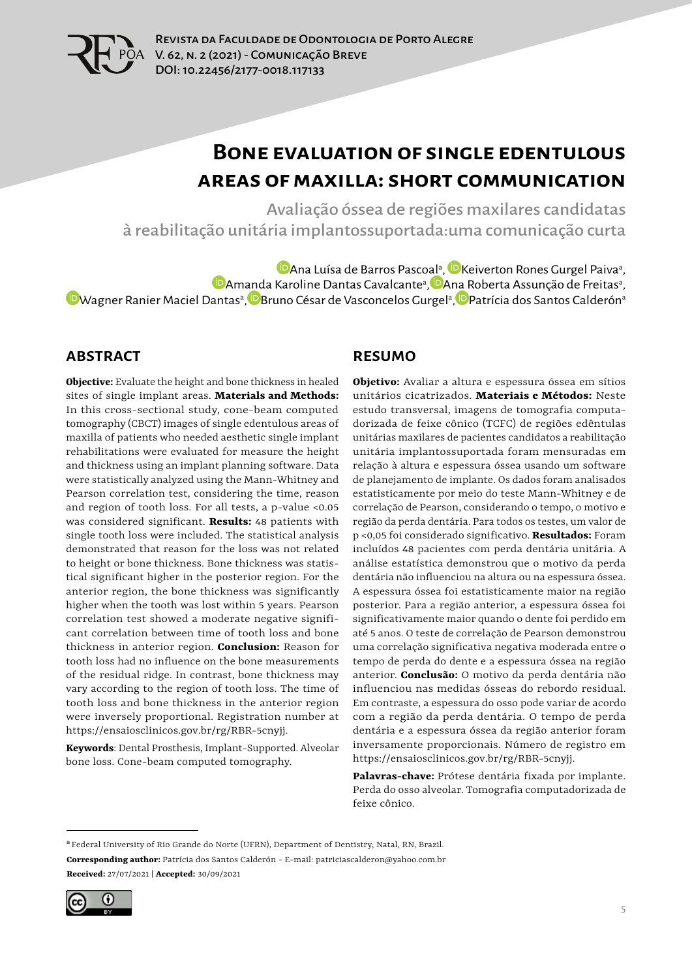

# **Bone evaluation of single edentulous areas of maxilla: short communication**

Avaliação óssea de regiões maxilares candidatas à reabilitação unitária implantossuportada:uma comunicação curta

[A](https://orcid.org/0000-0002-6434-7498)na Luísa de Barros Pasc[oal](https://orcid.org/0000-0002-2556-2742)ª, ÍDKeiverton Rones Gurgel Paivaª, [A](https://orcid.org/0000-0002-7031-4684)m[and](https://orcid.org/0000-0001-5971-134X)a Karoline Dantas Cavalcanteª, DA[na R](https://orcid.org/0000-0001-6637-6711)oberta Assunção de Freitasª, [W](https://orcid.org/0000-0002-4904-187X)agner Ranier Maciel Dantasª, DBruno César de Vasconcelos Gurgelª, DPatrícia dos Santos Calderónª

#### **ABSTRACT**

**Objective:** Evaluate the height and bone thickness in healed sites of single implant areas. **Materials and Methods:** In this cross-sectional study, cone-beam computed tomography (CBCT) images of single edentulous areas of maxilla of patients who needed aesthetic single implant rehabilitations were evaluated for measure the height and thickness using an implant planning software. Data were statistically analyzed using the Mann-Whitney and Pearson correlation test, considering the time, reason and region of tooth loss. For all tests, a p-value <0.05 was considered significant. **Results:** 48 patients with single tooth loss were included. The statistical analysis demonstrated that reason for the loss was not related to height or bone thickness. Bone thickness was statistical significant higher in the posterior region. For the anterior region, the bone thickness was significantly higher when the tooth was lost within 5 years. Pearson correlation test showed a moderate negative significant correlation between time of tooth loss and bone thickness in anterior region. **Conclusion:** Reason for tooth loss had no influence on the bone measurements of the residual ridge. In contrast, bone thickness may vary according to the region of tooth loss. The time of tooth loss and bone thickness in the anterior region were inversely proportional. Registration number at https://ensaiosclinicos.gov.br/rg/RBR-5cnyjj.

**Keywords**: Dental Prosthesis, Implant-Supported. Alveolar bone loss. Cone-beam computed tomography.

#### **RESUMO**

**Objetivo:** Avaliar a altura e espessura óssea em sítios unitários cicatrizados. **Materiais e Métodos:** Neste estudo transversal, imagens de tomografia computadorizada de feixe cônico (TCFC) de regiões edêntulas unitárias maxilares de pacientes candidatos a reabilitação unitária implantossuportada foram mensuradas em relação à altura e espessura óssea usando um software de planejamento de implante. Os dados foram analisados estatisticamente por meio do teste Mann-Whitney e de correlação de Pearson, considerando o tempo, o motivo e região da perda dentária. Para todos os testes, um valor de p <0,05 foi considerado significativo. **Resultados:** Foram incluídos 48 pacientes com perda dentária unitária. A análise estatística demonstrou que o motivo da perda dentária não influenciou na altura ou na espessura óssea. A espessura óssea foi estatisticamente maior na região posterior. Para a região anterior, a espessura óssea foi significativamente maior quando o dente foi perdido em até 5 anos. O teste de correlação de Pearson demonstrou uma correlação significativa negativa moderada entre o tempo de perda do dente e a espessura óssea na região anterior. **Conclusão:** O motivo da perda dentária não influenciou nas medidas ósseas do rebordo residual. Em contraste, a espessura do osso pode variar de acordo com a região da perda dentária. O tempo de perda dentária e a espessura óssea da região anterior foram inversamente proporcionais. Número de registro em https://ensaiosclinicos.gov.br/rg/RBR-5cnyjj.

**Palavras-chave:** Prótese dentária fixada por implante. Perda do osso alveolar. Tomografia computadorizada de feixe cônico.

<sup>&</sup>lt;sup>a</sup> Federal University of Rio Grande do Norte (UFRN), Department of Dentistry, Natal, RN, Brazil. **Corresponding author:** Patrícia dos Santos Calderón - E-mail: patriciascalderon@yahoo.com.br **Received:** 27/07/2021 | **Accepted:** 30/09/2021

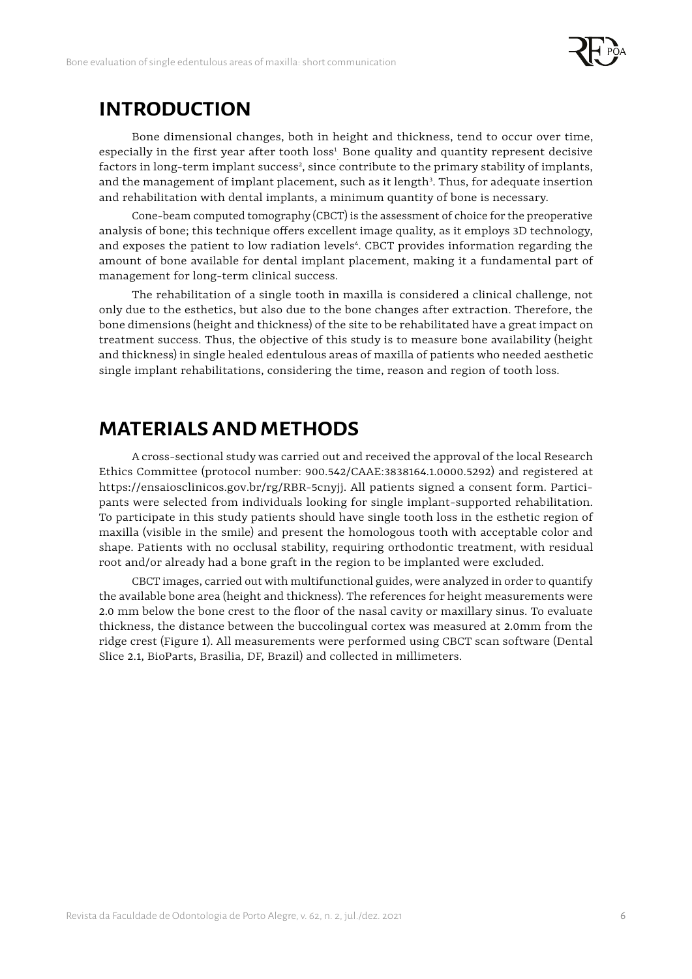

#### **INTRODUCTION**

Bone dimensional changes, both in height and thickness, tend to occur over time, especially in the first year after tooth  $loss^1$  Bone quality and quantity represent decisive factors in long-term implant success<sup>2</sup>, since contribute to the primary stability of implants, and the management of implant placement, such as it length<sup>3</sup>. Thus, for adequate insertion and rehabilitation with dental implants, a minimum quantity of bone is necessary.

Cone-beam computed tomography (CBCT) is the assessment of choice for the preoperative analysis of bone; this technique offers excellent image quality, as it employs 3D technology, and exposes the patient to low radiation levels<sup>4</sup>. CBCT provides information regarding the amount of bone available for dental implant placement, making it a fundamental part of management for long-term clinical success.

The rehabilitation of a single tooth in maxilla is considered a clinical challenge, not only due to the esthetics, but also due to the bone changes after extraction. Therefore, the bone dimensions (height and thickness) of the site to be rehabilitated have a great impact on treatment success. Thus, the objective of this study is to measure bone availability (height and thickness) in single healed edentulous areas of maxilla of patients who needed aesthetic single implant rehabilitations, considering the time, reason and region of tooth loss.

### **MATERIALS AND METHODS**

A cross-sectional study was carried out and received the approval of the local Research Ethics Committee (protocol number: 900.542/CAAE:3838164.1.0000.5292) and registered at https://ensaiosclinicos.gov.br/rg/RBR-5cnyjj. All patients signed a consent form. Participants were selected from individuals looking for single implant-supported rehabilitation. To participate in this study patients should have single tooth loss in the esthetic region of maxilla (visible in the smile) and present the homologous tooth with acceptable color and shape. Patients with no occlusal stability, requiring orthodontic treatment, with residual root and/or already had a bone graft in the region to be implanted were excluded.

CBCT images, carried out with multifunctional guides, were analyzed in order to quantify the available bone area (height and thickness). The references for height measurements were 2.0 mm below the bone crest to the floor of the nasal cavity or maxillary sinus. To evaluate thickness, the distance between the buccolingual cortex was measured at 2.0mm from the ridge crest (Figure 1). All measurements were performed using CBCT scan software (Dental Slice 2.1, BioParts, Brasilia, DF, Brazil) and collected in millimeters.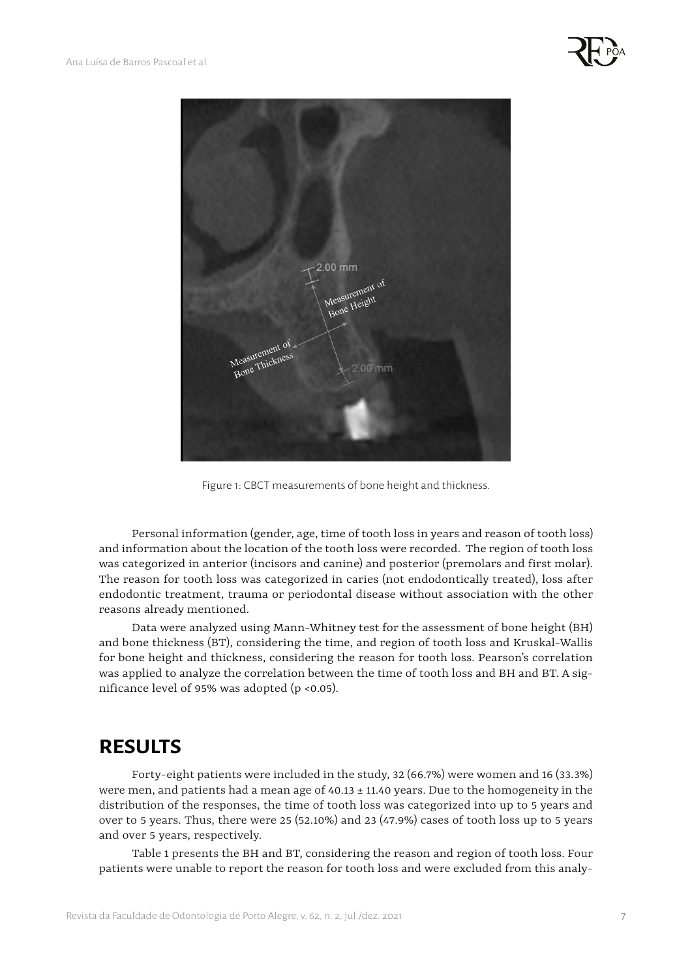



Figure 1: CBCT measurements of bone height and thickness.

Personal information (gender, age, time of tooth loss in years and reason of tooth loss) and information about the location of the tooth loss were recorded. The region of tooth loss was categorized in anterior (incisors and canine) and posterior (premolars and first molar). The reason for tooth loss was categorized in caries (not endodontically treated), loss after endodontic treatment, trauma or periodontal disease without association with the other reasons already mentioned.

Data were analyzed using Mann-Whitney test for the assessment of bone height (BH) and bone thickness (BT), considering the time, and region of tooth loss and Kruskal-Wallis for bone height and thickness, considering the reason for tooth loss. Pearson's correlation was applied to analyze the correlation between the time of tooth loss and BH and BT. A significance level of 95% was adopted (p <0.05).

#### **RESULTS**

Forty-eight patients were included in the study, 32 (66.7%) were women and 16 (33.3%) were men, and patients had a mean age of  $40.13 \pm 11.40$  years. Due to the homogeneity in the distribution of the responses, the time of tooth loss was categorized into up to 5 years and over to 5 years. Thus, there were 25 (52.10%) and 23 (47.9%) cases of tooth loss up to 5 years and over 5 years, respectively.

Table 1 presents the BH and BT, considering the reason and region of tooth loss. Four patients were unable to report the reason for tooth loss and were excluded from this analy-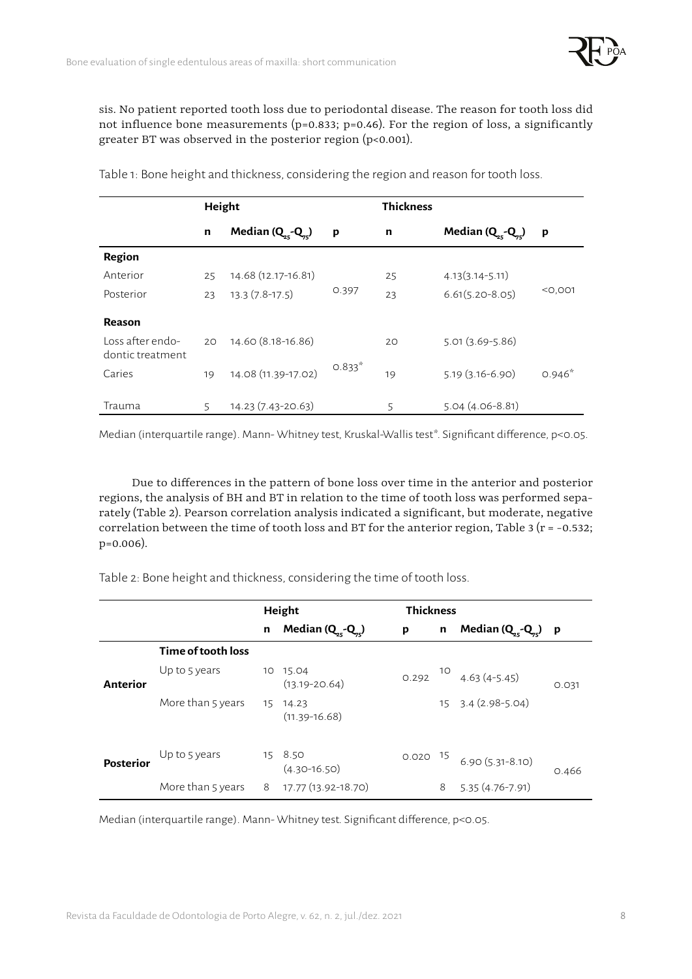

sis. No patient reported tooth loss due to periodontal disease. The reason for tooth loss did not influence bone measurements ( $p=0.833$ ;  $p=0.46$ ). For the region of loss, a significantly greater BT was observed in the posterior region (p<0.001).

|                                      | Height |                     |          | <b>Thickness</b> |                     |           |  |
|--------------------------------------|--------|---------------------|----------|------------------|---------------------|-----------|--|
|                                      | n      | Median $(Q, -Q)$    | p        | $\mathbf n$      | Median (Q -Q -      | p         |  |
| Region                               |        |                     |          |                  |                     |           |  |
| Anterior                             | 25     | 14.68 (12.17-16.81) |          | 25               | $4.13(3.14 - 5.11)$ |           |  |
| Posterior                            | 23     | $13.3(7.8-17.5)$    | 0.397    | 23               | $6.61(5.20 - 8.05)$ | $<$ 0,001 |  |
| Reason                               |        |                     |          |                  |                     |           |  |
| Loss after endo-<br>dontic treatment | 20     | 14.60 (8.18-16.86)  |          | 20               | $5.01(3.69 - 5.86)$ |           |  |
| Caries                               | 19     | 14.08 (11.39-17.02) | $0.833*$ | 19               | $5.19(3.16-6.90)$   | $0.946*$  |  |
| Trauma                               | 5      | 14.23 (7.43-20.63)  |          | 5                | $5.04(4.06-8.81)$   |           |  |

Table 1: Bone height and thickness, considering the region and reason for tooth loss.

Median (interquartile range). Mann- Whitney test, Kruskal-Wallis test\*. Significant difference, p<0.05.

Due to differences in the pattern of bone loss over time in the anterior and posterior regions, the analysis of BH and BT in relation to the time of tooth loss was performed separately (Table 2). Pearson correlation analysis indicated a significant, but moderate, negative correlation between the time of tooth loss and BT for the anterior region, Table 3 ( $r = -0.532$ ; p=0.006).

Table 2: Bone height and thickness, considering the time of tooth loss.

|                  |                    | Height |                               | <b>Thickness</b> |    |                          |       |
|------------------|--------------------|--------|-------------------------------|------------------|----|--------------------------|-------|
|                  |                    | n      | Median $(Q, -Q)$              | p                | n  | Median $(Q_{c} - Q_{c})$ | p     |
|                  | Time of tooth loss |        |                               |                  |    |                          |       |
| Anterior         | Up to 5 years      |        | 10 15.04<br>$(13.19 - 20.64)$ | 0.292            | 10 | $4.63(4-5.45)$           | 0.031 |
|                  | More than 5 years  |        | 15 14.23<br>$(11.39 - 16.68)$ |                  |    | 15 3.4 (2.98-5.04)       |       |
| <b>Posterior</b> | Up to 5 years      |        | 15 8.50<br>$(4.30 - 16.50)$   | $0.020$ 15       |    | $6.90(5.31-8.10)$        | 0.466 |
|                  | More than 5 years  | 8      | 17.77 (13.92-18.70)           |                  | 8  | $5.35(4.76 - 7.91)$      |       |

Median (interquartile range). Mann- Whitney test. Significant difference, p<0.05.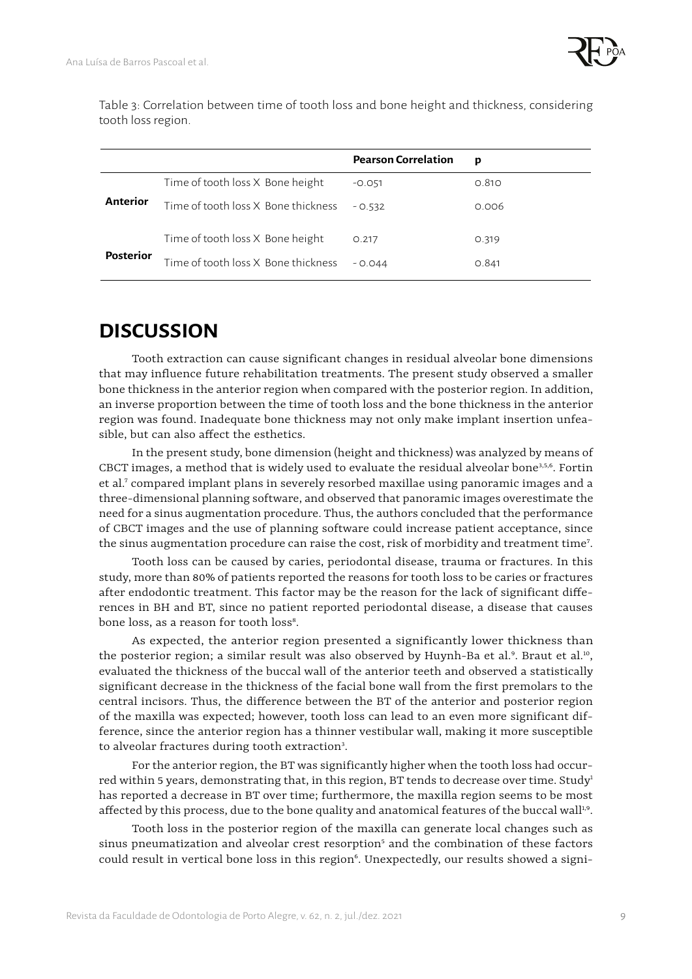Table 3: Correlation between time of tooth loss and bone height and thickness, considering tooth loss region.

|                  |                                     | <b>Pearson Correlation</b> | p     |
|------------------|-------------------------------------|----------------------------|-------|
|                  | Time of tooth loss X Bone height    | $-0.051$                   | 0.810 |
| Anterior         | Time of tooth loss X Bone thickness | $-0.532$                   | 0.006 |
|                  | Time of tooth loss X Bone height    | 0.217                      | 0.319 |
| <b>Posterior</b> | Time of tooth loss X Bone thickness | $-0.044$                   | 0.841 |

# **DISCUSSION**

Tooth extraction can cause significant changes in residual alveolar bone dimensions that may influence future rehabilitation treatments. The present study observed a smaller bone thickness in the anterior region when compared with the posterior region. In addition, an inverse proportion between the time of tooth loss and the bone thickness in the anterior region was found. Inadequate bone thickness may not only make implant insertion unfeasible, but can also affect the esthetics.

In the present study, bone dimension (height and thickness) was analyzed by means of CBCT images, a method that is widely used to evaluate the residual alveolar bone<sup>3,5,6</sup>. Fortin et al.<sup>7</sup> compared implant plans in severely resorbed maxillae using panoramic images and a three-dimensional planning software, and observed that panoramic images overestimate the need for a sinus augmentation procedure. Thus, the authors concluded that the performance of CBCT images and the use of planning software could increase patient acceptance, since the sinus augmentation procedure can raise the cost, risk of morbidity and treatment time<sup>7</sup>.

Tooth loss can be caused by caries, periodontal disease, trauma or fractures. In this study, more than 80% of patients reported the reasons for tooth loss to be caries or fractures after endodontic treatment. This factor may be the reason for the lack of significant differences in BH and BT, since no patient reported periodontal disease, a disease that causes bone loss, as a reason for tooth loss<sup>8</sup>.

As expected, the anterior region presented a significantly lower thickness than the posterior region; a similar result was also observed by Huynh-Ba et al.<sup>9</sup>. Braut et al.<sup>10</sup>, evaluated the thickness of the buccal wall of the anterior teeth and observed a statistically significant decrease in the thickness of the facial bone wall from the first premolars to the central incisors. Thus, the difference between the BT of the anterior and posterior region of the maxilla was expected; however, tooth loss can lead to an even more significant difference, since the anterior region has a thinner vestibular wall, making it more susceptible to alveolar fractures during tooth extraction<sup>3</sup>.

For the anterior region, the BT was significantly higher when the tooth loss had occurred within 5 years, demonstrating that, in this region, BT tends to decrease over time. Study<sup>1</sup> has reported a decrease in BT over time; furthermore, the maxilla region seems to be most affected by this process, due to the bone quality and anatomical features of the buccal wall<sup>1,9</sup>.

Tooth loss in the posterior region of the maxilla can generate local changes such as  $s$ inus pneumatization and alveolar crest resorption $^{\mathrm{s}}$  and the combination of these factors could result in vertical bone loss in this region<sup>6</sup>. Unexpectedly, our results showed a signi-